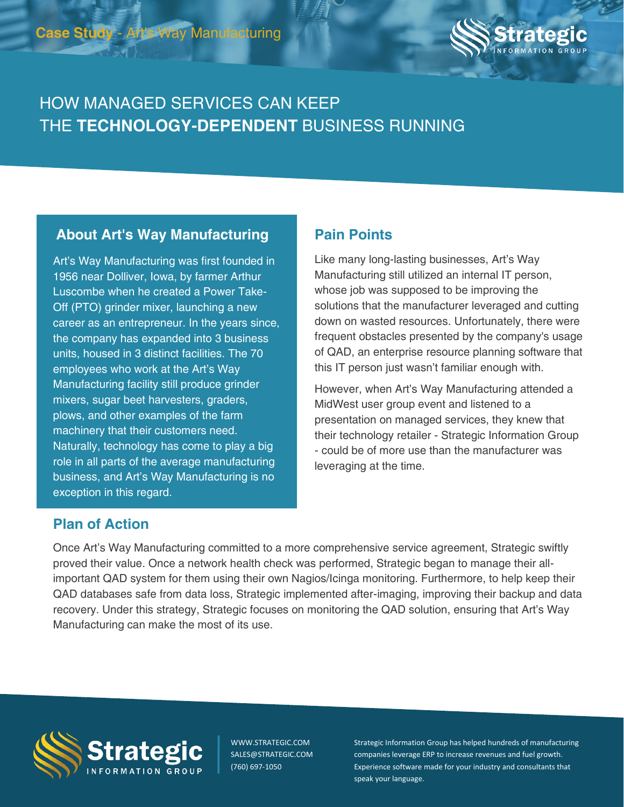

# HOW MANAGED SERVICES CAN KEEP THE **TECHNOLOGY-DEPENDENT** BUSINESS RUNNING

## **About Art's Way Manufacturing Pain Points**

Art's Way Manufacturing was first founded in 1956 near Dolliver, Iowa, by farmer Arthur Luscombe when he created a Power Take-Off (PTO) grinder mixer, launching a new career as an entrepreneur. In the years since, the company has expanded into 3 business units, housed in 3 distinct facilities. The 70 employees who work at the Art's Way Manufacturing facility still produce grinder mixers, sugar beet harvesters, graders, plows, and other examples of the farm machinery that their customers need. Naturally, technology has come to play a big role in all parts of the average manufacturing business, and Art's Way Manufacturing is no exception in this regard.

Like many long-lasting businesses, Art's Way Manufacturing still utilized an internal IT person, whose job was supposed to be improving the solutions that the manufacturer leveraged and cutting down on wasted resources. Unfortunately, there were frequent obstacles presented by the company's usage of QAD, an enterprise resource planning software that this IT person just wasn't familiar enough with.

However, when Art's Way Manufacturing attended a MidWest user group event and listened to a presentation on managed services, they knew that their technology retailer - Strategic Information Group - could be of more use than the manufacturer was leveraging at the time.

### **Plan of Action**

Once Art's Way Manufacturing committed to a more comprehensive service agreement, Strategic swiftly proved their value. Once a network health check was performed, Strategic began to manage their allimportant QAD system for them using their own Nagios/Icinga monitoring. Furthermore, to help keep their QAD databases safe from data loss, Strategic implemented after-imaging, improving their backup and data recovery. Under this strategy, Strategic focuses on monitoring the QAD solution, ensuring that Art's Way Manufacturing can make the most of its use.



WWW.STRATEGIC.COM SALES@STRATEGIC.COM (760) 697-1050

Strategic Information Group has helped hundreds of manufacturing companies leverage ERP to increase revenues and fuel growth. Experience software made for your industry and consultants that speak your language.